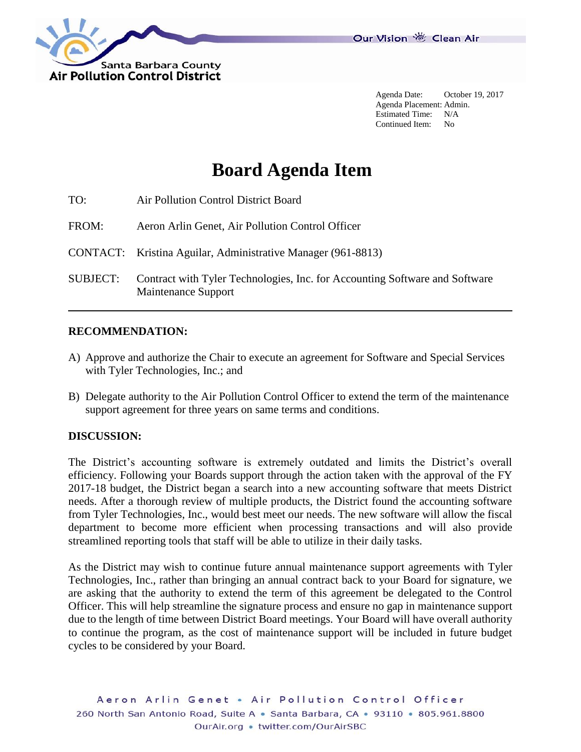

Agenda Date: October 19, 2017 Agenda Placement: Admin. Estimated Time: N/A Continued Item: No

# **Board Agenda Item**

| TO:             | Air Pollution Control District Board                                                               |
|-----------------|----------------------------------------------------------------------------------------------------|
| FROM:           | Aeron Arlin Genet, Air Pollution Control Officer                                                   |
|                 | CONTACT: Kristina Aguilar, Administrative Manager (961-8813)                                       |
| <b>SUBJECT:</b> | Contract with Tyler Technologies, Inc. for Accounting Software and Software<br>Maintenance Support |

#### **RECOMMENDATION:**

- A) Approve and authorize the Chair to execute an agreement for Software and Special Services with Tyler Technologies, Inc.; and
- B) Delegate authority to the Air Pollution Control Officer to extend the term of the maintenance support agreement for three years on same terms and conditions.

#### **DISCUSSION:**

The District's accounting software is extremely outdated and limits the District's overall efficiency. Following your Boards support through the action taken with the approval of the FY 2017-18 budget, the District began a search into a new accounting software that meets District needs. After a thorough review of multiple products, the District found the accounting software from Tyler Technologies, Inc., would best meet our needs. The new software will allow the fiscal department to become more efficient when processing transactions and will also provide streamlined reporting tools that staff will be able to utilize in their daily tasks.

As the District may wish to continue future annual maintenance support agreements with Tyler Technologies, Inc., rather than bringing an annual contract back to your Board for signature, we are asking that the authority to extend the term of this agreement be delegated to the Control Officer. This will help streamline the signature process and ensure no gap in maintenance support due to the length of time between District Board meetings. Your Board will have overall authority to continue the program, as the cost of maintenance support will be included in future budget cycles to be considered by your Board.